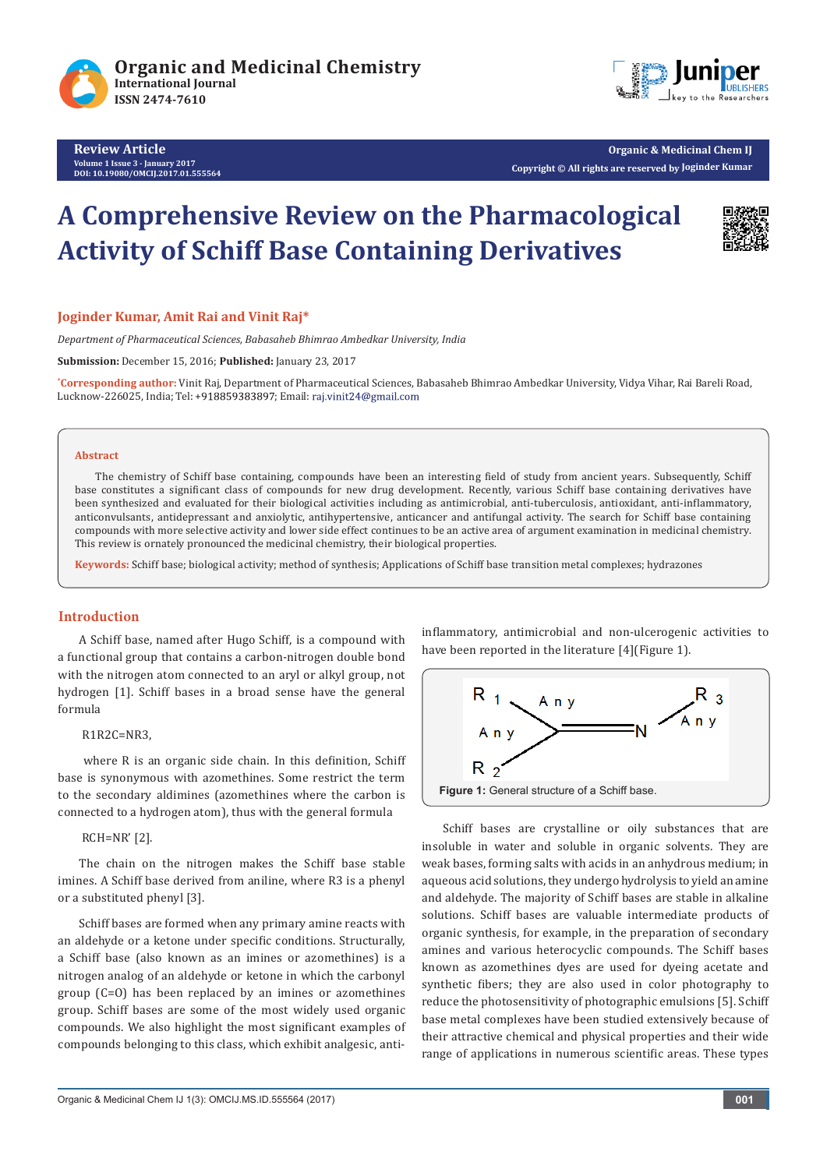

**Review Article Volume 1 Issue 3 - January 2017 DOI: [10.19080/OMCIJ.2017.01.555564](http://dx.doi.org/10.19080/omcij.2017.01.555564
)**



**Organic & Medicinal Chem IJ Copyright © All rights are reserved by Joginder Kumar**

# **A Comprehensive Review on the Pharmacological Activity of Schiff Base Containing Derivatives**



#### **Joginder Kumar, Amit Rai and Vinit Raj\***

*Department of Pharmaceutical Sciences, Babasaheb Bhimrao Ambedkar University, India*

**Submission:** December 15, 2016; **Published:** January 23, 2017

**\* Corresponding author:** Vinit Raj, Department of Pharmaceutical Sciences, Babasaheb Bhimrao Ambedkar University, Vidya Vihar, Rai Bareli Road, Lucknow-226025, India; Tel: +918859383897; Email: raj.vinit24@gmail.com

#### **Abstract**

The chemistry of Schiff base containing, compounds have been an interesting field of study from ancient years. Subsequently, Schiff base constitutes a significant class of compounds for new drug development. Recently, various Schiff base containing derivatives have been synthesized and evaluated for their biological activities including as antimicrobial, anti-tuberculosis, antioxidant, anti-inflammatory, anticonvulsants, antidepressant and anxiolytic, antihypertensive, anticancer and antifungal activity. The search for Schiff base containing compounds with more selective activity and lower side effect continues to be an active area of argument examination in medicinal chemistry. This review is ornately pronounced the medicinal chemistry, their biological properties.

**Keywords:** Schiff base; biological activity; method of synthesis; Applications of Schiff base transition metal complexes; hydrazones

#### **Introduction**

A Schiff base, named after Hugo Schiff, is a compound with a functional group that contains a carbon-nitrogen double bond with the nitrogen atom connected to an aryl or alkyl group, not hydrogen [1]. Schiff bases in a broad sense have the general formula

#### R1R2C=NR3,

 where R is an organic side chain. In this definition, Schiff base is synonymous with azomethines. Some restrict the term to the secondary aldimines (azomethines where the carbon is connected to a hydrogen atom), thus with the general formula

#### RCH=NR' [2].

The chain on the nitrogen makes the Schiff base stable imines. A Schiff base derived from aniline, where R3 is a phenyl or a substituted phenyl [3].

Schiff bases are formed when any primary amine reacts with an aldehyde or a ketone under specific conditions. Structurally, a Schiff base (also known as an imines or azomethines) is a nitrogen analog of an aldehyde or ketone in which the carbonyl group (C=O) has been replaced by an imines or azomethines group. Schiff bases are some of the most widely used organic compounds. We also highlight the most significant examples of compounds belonging to this class, which exhibit analgesic, antiinflammatory, antimicrobial and non-ulcerogenic activities to have been reported in the literature [4] (Figure 1).



Schiff bases are crystalline or oily substances that are insoluble in water and soluble in organic solvents. They are weak bases, forming salts with acids in an anhydrous medium; in aqueous acid solutions, they undergo hydrolysis to yield an amine and aldehyde. The majority of Schiff bases are stable in alkaline solutions. Schiff bases are valuable intermediate products of organic synthesis, for example, in the preparation of secondary amines and various heterocyclic compounds. The Schiff bases known as azomethines dyes are used for dyeing acetate and synthetic fibers; they are also used in color photography to reduce the photosensitivity of photographic emulsions [5]. Schiff base metal complexes have been studied extensively because of their attractive chemical and physical properties and their wide range of applications in numerous scientific areas. These types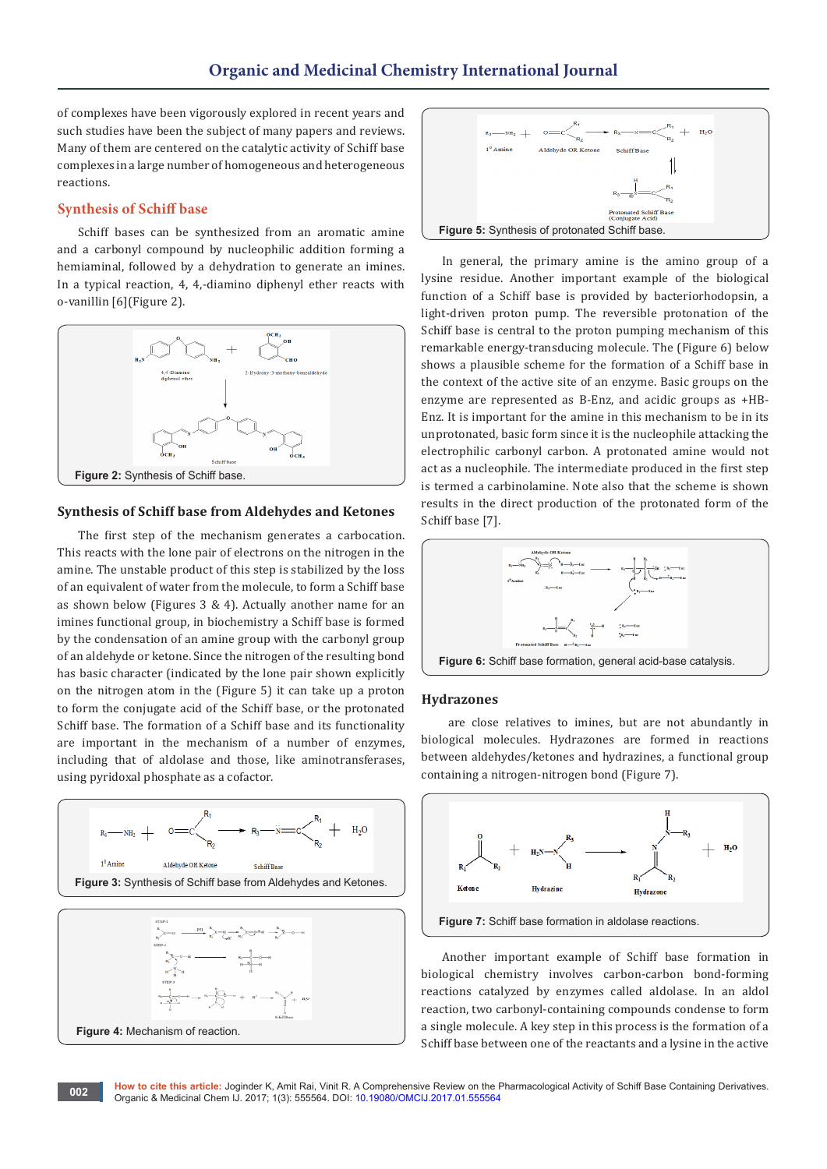of complexes have been vigorously explored in recent years and such studies have been the subject of many papers and reviews. Many of them are centered on the catalytic activity of Schiff base complexes in a large number of homogeneous and heterogeneous reactions.

#### **Synthesis of Schiff base**

Schiff bases can be synthesized from an aromatic amine and a carbonyl compound by nucleophilic addition forming a hemiaminal, followed by a dehydration to generate an imines. In a typical reaction, 4, 4,-diamino diphenyl ether reacts with o-vanillin [6](Figure 2).



#### **Synthesis of Schiff base from Aldehydes and Ketones**

The first step of the mechanism generates a carbocation. This reacts with the lone pair of electrons on the nitrogen in the amine. The unstable product of this step is stabilized by the loss of an equivalent of water from the molecule, to form a Schiff base as shown below (Figures 3 & 4). Actually another name for an imines functional group, in biochemistry a Schiff base is formed by the condensation of an amine group with the carbonyl group of an aldehyde or ketone. Since the nitrogen of the resulting bond has basic character (indicated by the lone pair shown explicitly on the nitrogen atom in the (Figure 5) it can take up a proton to form the conjugate acid of the Schiff base, or the protonated Schiff base. The formation of a Schiff base and its functionality are important in the mechanism of a number of enzymes, including that of aldolase and those, like aminotransferases, using pyridoxal phosphate as a cofactor.





In general, the primary amine is the amino group of a lysine residue. Another important example of the biological function of a Schiff base is provided by bacteriorhodopsin, a light-driven proton pump. The reversible protonation of the Schiff base is central to the proton pumping mechanism of this remarkable energy-transducing molecule. The (Figure 6) below shows a plausible scheme for the formation of a Schiff base in the context of the active site of an enzyme. Basic groups on the enzyme are represented as B-Enz, and acidic groups as +HB-Enz. It is important for the amine in this mechanism to be in its unprotonated, basic form since it is the nucleophile attacking the electrophilic carbonyl carbon. A protonated amine would not act as a nucleophile. The intermediate produced in the first step is termed a carbinolamine. Note also that the scheme is shown results in the direct production of the protonated form of the Schiff base [7].



#### **Hydrazones**

 are close relatives to imines, but are not abundantly in biological molecules. Hydrazones are formed in reactions between aldehydes/ketones and hydrazines, a functional group containing a nitrogen-nitrogen bond (Figure 7).



Another important example of Schiff base formation in biological chemistry involves carbon-carbon bond-forming reactions catalyzed by enzymes called aldolase. In an aldol reaction, two carbonyl-containing compounds condense to form a single molecule. A key step in this process is the formation of a Schiff base between one of the reactants and a lysine in the active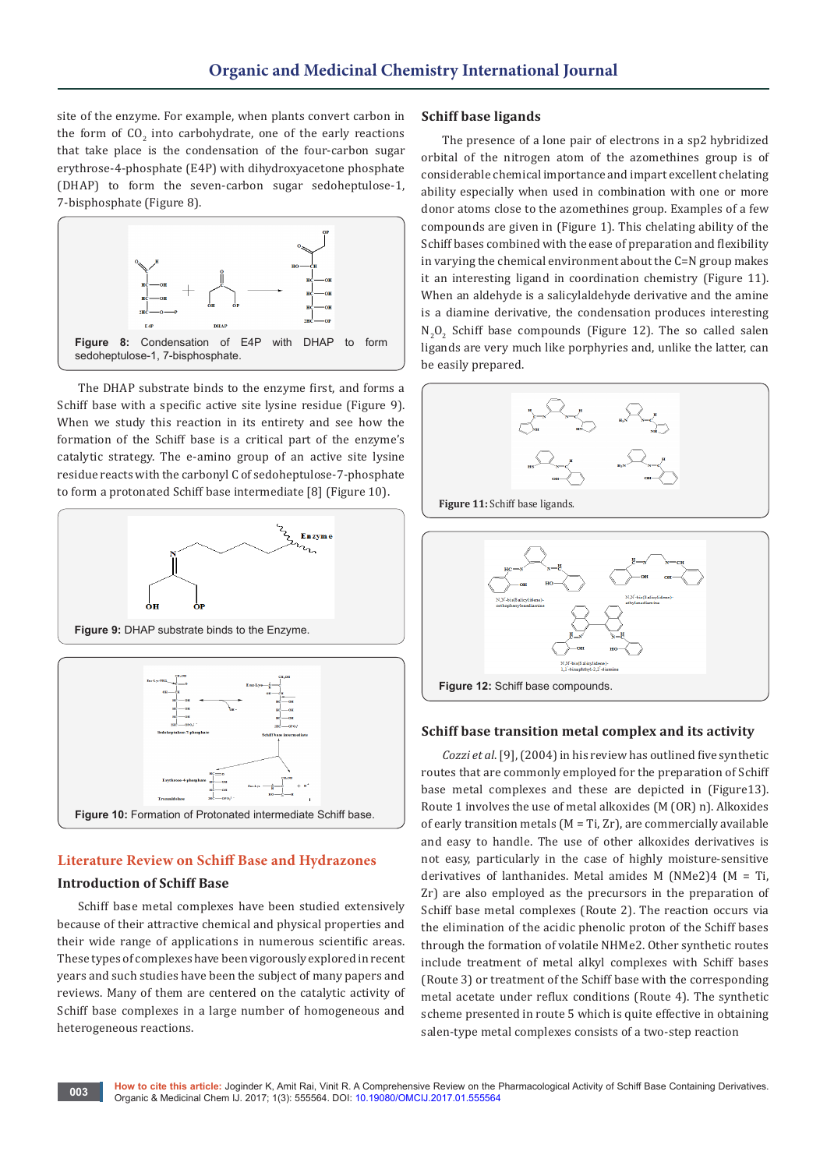site of the enzyme. For example, when plants convert carbon in the form of  $\mathfrak{CO}_2$  into carbohydrate, one of the early reactions that take place is the condensation of the four-carbon sugar erythrose-4-phosphate (E4P) with dihydroxyacetone phosphate (DHAP) to form the seven-carbon sugar sedoheptulose-1, 7-bisphosphate (Figure 8).



The DHAP substrate binds to the enzyme first, and forms a Schiff base with a specific active site lysine residue (Figure 9). When we study this reaction in its entirety and see how the formation of the Schiff base is a critical part of the enzyme's catalytic strategy. The e-amino group of an active site lysine residue reacts with the carbonyl C of sedoheptulose-7-phosphate to form a protonated Schiff base intermediate [8] (Figure 10).



# **Figure 10:** Formation of Protonated intermediate Schiff base.

## **Literature Review on Schiff Base and Hydrazones**

### **Introduction of Schiff Base**

Schiff base metal complexes have been studied extensively because of their attractive chemical and physical properties and their wide range of applications in numerous scientific areas. These types of complexes have been vigorously explored in recent years and such studies have been the subject of many papers and reviews. Many of them are centered on the catalytic activity of Schiff base complexes in a large number of homogeneous and heterogeneous reactions.

#### **Schiff base ligands**

The presence of a lone pair of electrons in a sp2 hybridized orbital of the nitrogen atom of the azomethines group is of considerable chemical importance and impart excellent chelating ability especially when used in combination with one or more donor atoms close to the azomethines group. Examples of a few compounds are given in (Figure 1). This chelating ability of the Schiff bases combined with the ease of preparation and flexibility in varying the chemical environment about the C=N group makes it an interesting ligand in coordination chemistry (Figure 11). When an aldehyde is a salicylaldehyde derivative and the amine is a diamine derivative, the condensation produces interesting  $N_2O_2$  Schiff base compounds (Figure 12). The so called salen ligands are very much like porphyries and, unlike the latter, can be easily prepared.



**Figure 11:** Schiff base ligands.



#### **Schiff base transition metal complex and its activity**

*Cozzi et al*. [9], (2004) in his review has outlined five synthetic routes that are commonly employed for the preparation of Schiff base metal complexes and these are depicted in (Figure13). Route 1 involves the use of metal alkoxides (M (OR) n). Alkoxides of early transition metals  $(M = Ti, Zr)$ , are commercially available and easy to handle. The use of other alkoxides derivatives is not easy, particularly in the case of highly moisture-sensitive derivatives of lanthanides. Metal amides M (NMe2)4 (M = Ti, Zr) are also employed as the precursors in the preparation of Schiff base metal complexes (Route 2). The reaction occurs via the elimination of the acidic phenolic proton of the Schiff bases through the formation of volatile NHMe2. Other synthetic routes include treatment of metal alkyl complexes with Schiff bases (Route 3) or treatment of the Schiff base with the corresponding metal acetate under reflux conditions (Route 4). The synthetic scheme presented in route 5 which is quite effective in obtaining salen-type metal complexes consists of a two-step reaction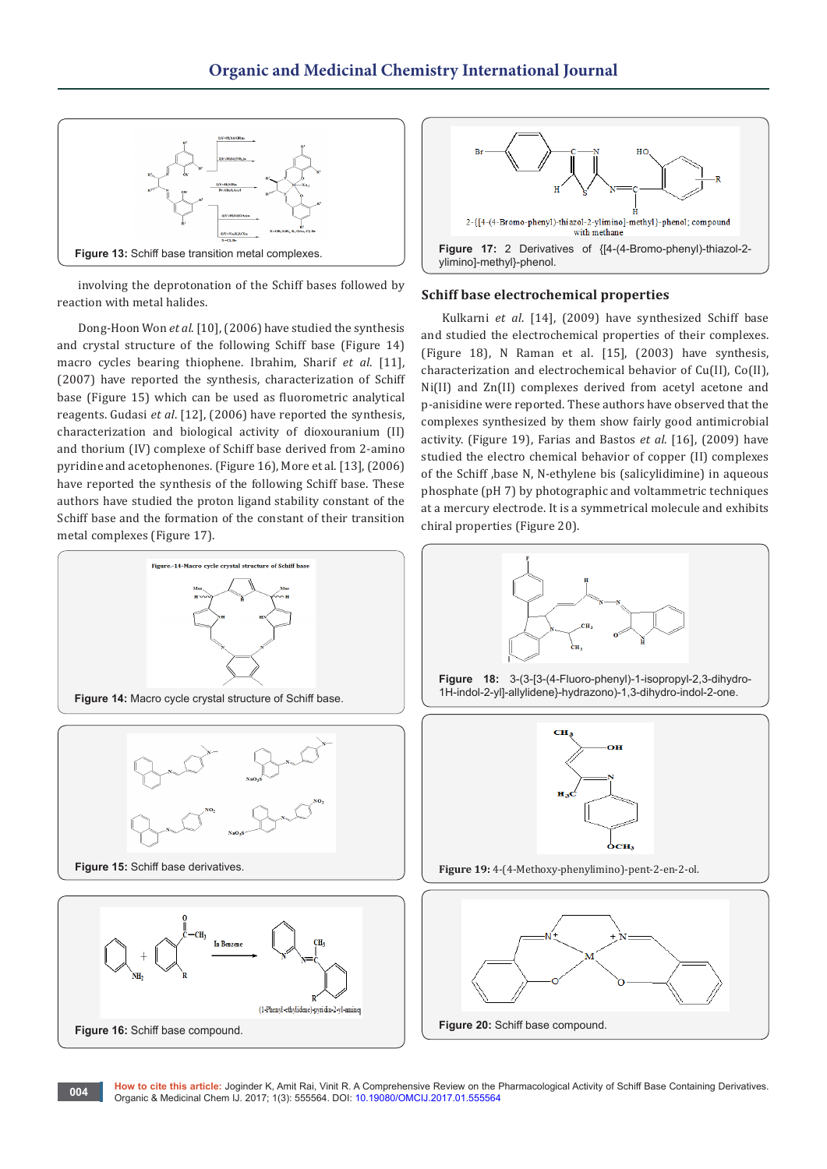

involving the deprotonation of the Schiff bases followed by reaction with metal halides.

Dong-Hoon Won *et al*. [10], (2006) have studied the synthesis and crystal structure of the following Schiff base (Figure 14) macro cycles bearing thiophene. Ibrahim, Sharif *et al*. [11], (2007) have reported the synthesis, characterization of Schiff base (Figure 15) which can be used as fluorometric analytical reagents. Gudasi *et al*. [12], (2006) have reported the synthesis, characterization and biological activity of dioxouranium (II) and thorium (IV) complexe of Schiff base derived from 2-amino pyridine and acetophenones. (Figure 16), More et al. [13], (2006) have reported the synthesis of the following Schiff base. These authors have studied the proton ligand stability constant of the Schiff base and the formation of the constant of their transition metal complexes (Figure 17).



#### **Schiff base electrochemical properties**

Kulkarni *et al*. [14], (2009) have synthesized Schiff base and studied the electrochemical properties of their complexes. (Figure 18), N Raman et al. [15], (2003) have synthesis, characterization and electrochemical behavior of Cu(II), Co(II), Ni(II) and Zn(II) complexes derived from acetyl acetone and p-anisidine were reported. These authors have observed that the complexes synthesized by them show fairly good antimicrobial activity. (Figure 19), Farias and Bastos *et al*. [16], (2009) have studied the electro chemical behavior of copper (II) complexes of the Schiff ,base N, N-ethylene bis (salicylidimine) in aqueous phosphate (pH 7) by photographic and voltammetric techniques at a mercury electrode. It is a symmetrical molecule and exhibits chiral properties (Figure 20).



**How to cite this article:** Joginder K, Amit Rai, Vinit R. A Comprehensive Review on the Pharmacological Activity of Schiff Base Containing Derivatives. Organic & Medicinal Chem IJ. 2017; 1(3): 555564. DOI: [10.19080/OMCIJ.2017.01.555564](http://dx.doi.org/10.19080/omcij.2017.01.555564
) **<sup>004</sup>**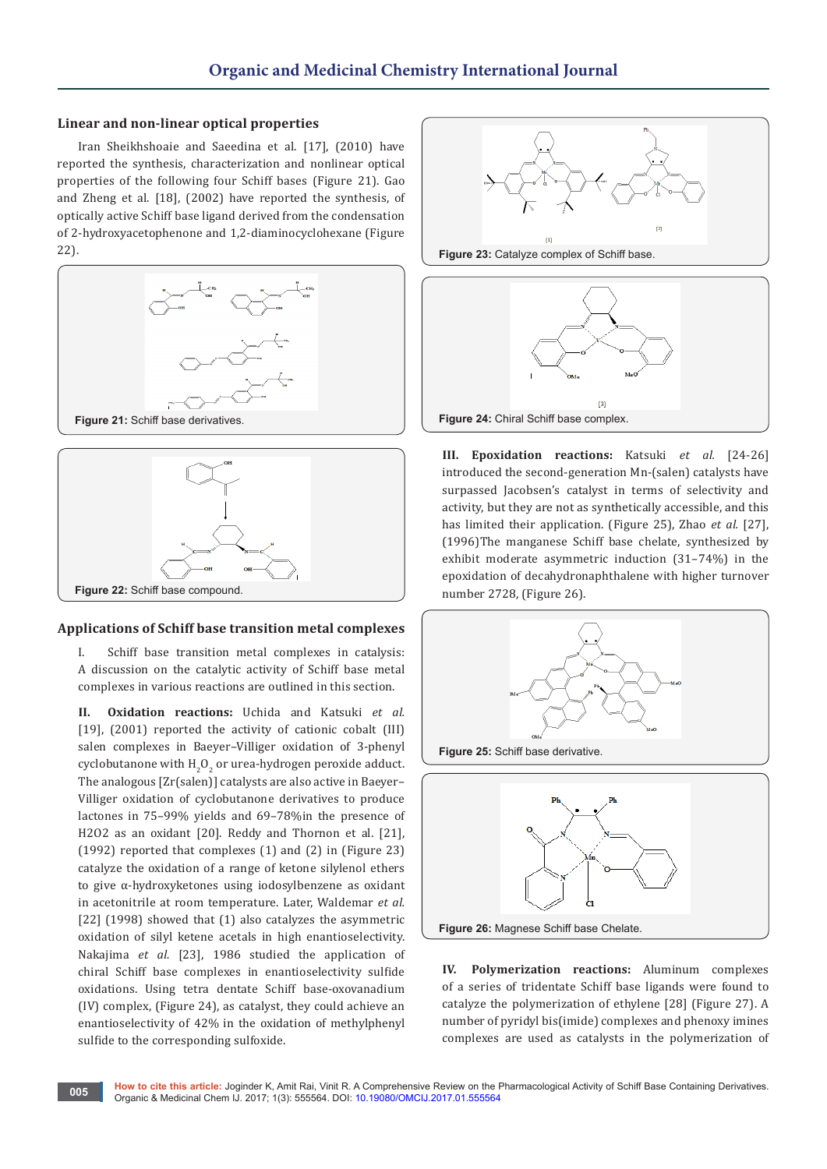#### **Linear and non-linear optical properties**

Iran Sheikhshoaie and Saeedina et al. [17], (2010) have reported the synthesis, characterization and nonlinear optical properties of the following four Schiff bases (Figure 21). Gao and Zheng et al. [18], (2002) have reported the synthesis, of optically active Schiff base ligand derived from the condensation of 2-hydroxyacetophenone and 1,2-diaminocyclohexane (Figure 22).





#### **Applications of Schiff base transition metal complexes**

I. Schiff base transition metal complexes in catalysis: A discussion on the catalytic activity of Schiff base metal complexes in various reactions are outlined in this section.

**II. Oxidation reactions:** Uchida and Katsuki *et al.*  [19], (2001) reported the activity of cationic cobalt (III) salen complexes in Baeyer–Villiger oxidation of 3-phenyl cyclobutanone with  $\text{H}_{\text{2}}\text{O}_{\text{2}}$  or urea-hydrogen peroxide adduct. The analogous [Zr(salen)] catalysts are also active in Baeyer– Villiger oxidation of cyclobutanone derivatives to produce lactones in 75–99% yields and 69–78%in the presence of H2O2 as an oxidant [20]. Reddy and Thornon et al. [21], (1992) reported that complexes (1) and (2) in (Figure 23) catalyze the oxidation of a range of ketone silylenol ethers to give α-hydroxyketones using iodosylbenzene as oxidant in acetonitrile at room temperature. Later, Waldemar *et al.*  [22] (1998) showed that (1) also catalyzes the asymmetric oxidation of silyl ketene acetals in high enantioselectivity. Nakajima *et al.* [23], 1986 studied the application of chiral Schiff base complexes in enantioselectivity sulfide oxidations. Using tetra dentate Schiff base-oxovanadium (IV) complex, (Figure 24), as catalyst, they could achieve an enantioselectivity of 42% in the oxidation of methylphenyl sulfide to the corresponding sulfoxide.





**III. Epoxidation reactions:** Katsuki *et al.* [24-26] introduced the second-generation Mn-(salen) catalysts have surpassed Jacobsen's catalyst in terms of selectivity and activity, but they are not as synthetically accessible, and this has limited their application. (Figure 25), Zhao *et al.* [27], (1996)The manganese Schiff base chelate, synthesized by exhibit moderate asymmetric induction (31–74%) in the epoxidation of decahydronaphthalene with higher turnover number 2728, (Figure 26).



**IV. Polymerization reactions:** Aluminum complexes of a series of tridentate Schiff base ligands were found to catalyze the polymerization of ethylene [28] (Figure 27). A number of pyridyl bis(imide) complexes and phenoxy imines complexes are used as catalysts in the polymerization of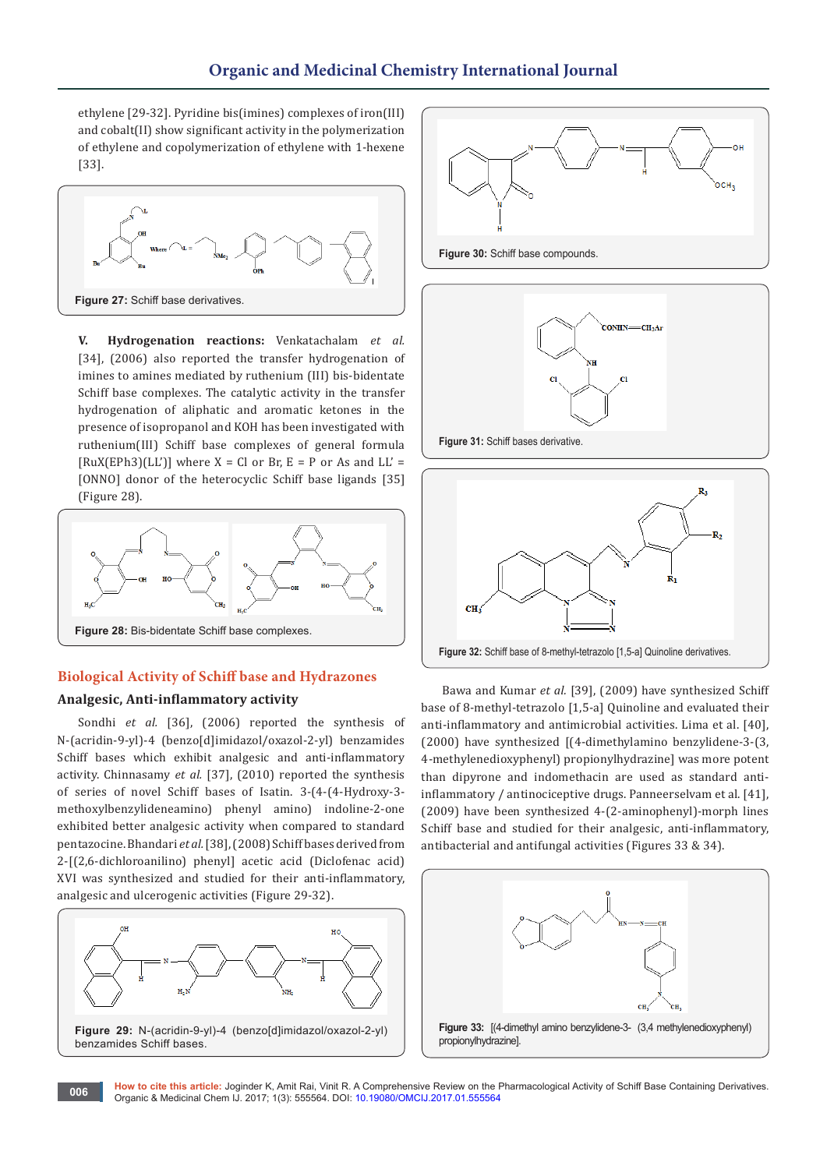ethylene [29-32]. Pyridine bis(imines) complexes of iron(III) and cobalt(II) show significant activity in the polymerization of ethylene and copolymerization of ethylene with 1-hexene [33].



**V. Hydrogenation reactions:** Venkatachalam *et al.*  [34], (2006) also reported the transfer hydrogenation of imines to amines mediated by ruthenium (III) bis-bidentate Schiff base complexes. The catalytic activity in the transfer hydrogenation of aliphatic and aromatic ketones in the presence of isopropanol and KOH has been investigated with ruthenium(III) Schiff base complexes of general formula  $[RuX(EPh3)(LL')]$  where  $X = Cl$  or Br,  $E = P$  or As and  $LL' =$ [ONNO] donor of the heterocyclic Schiff base ligands [35] (Figure 28).



# **Biological Activity of Schiff base and Hydrazones Analgesic, Anti-inflammatory activity**

Sondhi *et al.* [36], (2006) reported the synthesis of N-(acridin-9-yl)-4 (benzo[d]imidazol/oxazol-2-yl) benzamides Schiff bases which exhibit analgesic and anti-inflammatory activity. Chinnasamy *et al.* [37], (2010) reported the synthesis of series of novel Schiff bases of Isatin. 3-(4-(4-Hydroxy-3 methoxylbenzylideneamino) phenyl amino) indoline-2-one exhibited better analgesic activity when compared to standard pentazocine. Bhandari *et al.* [38], (2008) Schiff bases derived from 2-[(2,6-dichloroanilino) phenyl] acetic acid (Diclofenac acid) XVI was synthesized and studied for their anti-inflammatory, analgesic and ulcerogenic activities (Figure 29-32).





**Figure 30:** Schiff base compounds.





Bawa and Kumar *et al.* [39], (2009) have synthesized Schiff base of 8-methyl-tetrazolo [1,5-a] Quinoline and evaluated their anti-inflammatory and antimicrobial activities. Lima et al. [40], (2000) have synthesized [(4-dimethylamino benzylidene-3-(3, 4-methylenedioxyphenyl) propionylhydrazine] was more potent than dipyrone and indomethacin are used as standard antiinflammatory / antinociceptive drugs. Panneerselvam et al. [41], (2009) have been synthesized 4-(2-aminophenyl)-morph lines Schiff base and studied for their analgesic, anti-inflammatory, antibacterial and antifungal activities (Figures 33 & 34).



**How to cite this article:** Joginder K, Amit Rai, Vinit R. A Comprehensive Review on the Pharmacological Activity of Schiff Base Containing Derivatives. **Organic & Medicinal Chem IJ. 2017; 1(3): 555564. DOI: [10.19080/OMCIJ.2017.01.555564](http://dx.doi.org/10.19080/omcij.2017.01.555564
)**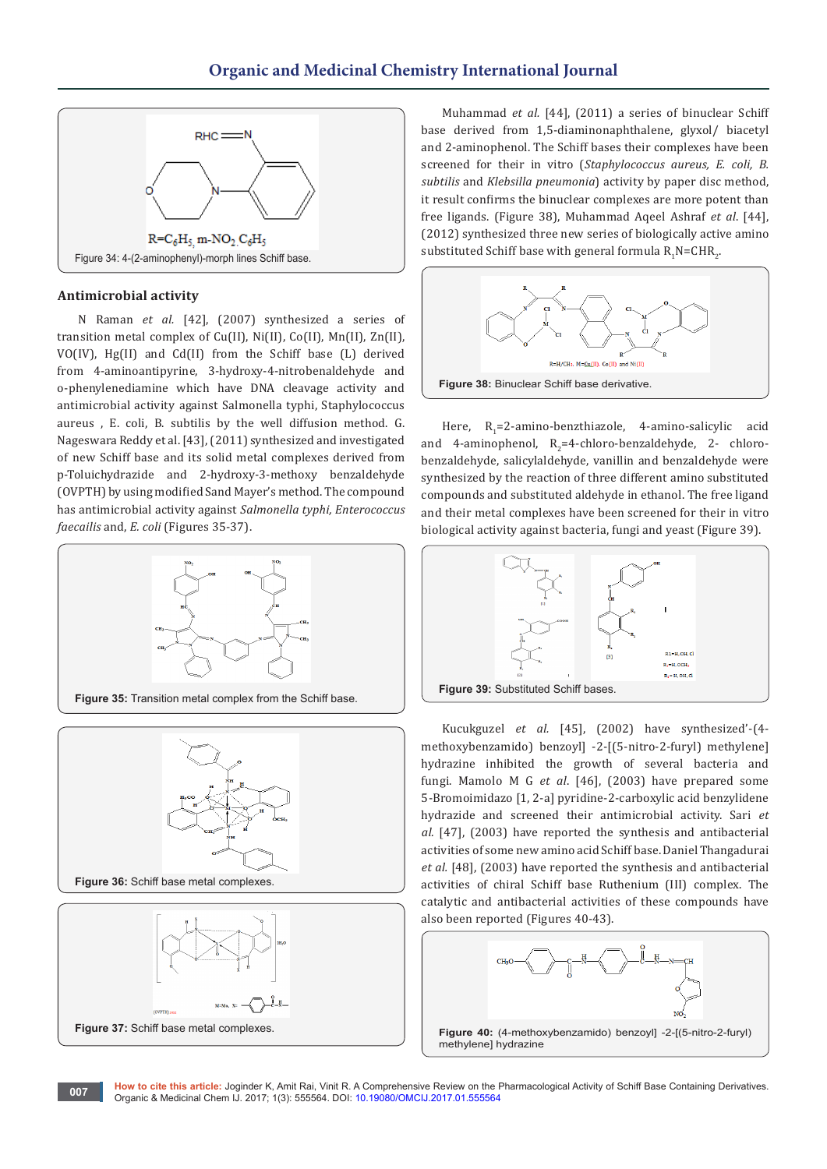

#### **Antimicrobial activity**

N Raman *et al.* [42], (2007) synthesized a series of transition metal complex of Cu(II), Ni(II), Co(II), Mn(II), Zn(II), VO(IV), Hg(II) and Cd(II) from the Schiff base (L) derived from 4-aminoantipyrine, 3-hydroxy-4-nitrobenaldehyde and o-phenylenediamine which have DNA cleavage activity and antimicrobial activity against Salmonella typhi, Staphylococcus aureus , E. coli, B. subtilis by the well diffusion method. G. Nageswara Reddy et al. [43], (2011) synthesized and investigated of new Schiff base and its solid metal complexes derived from p-Toluichydrazide and 2-hydroxy-3-methoxy benzaldehyde (OVPTH) by using modified Sand Mayer's method. The compound has antimicrobial activity against *Salmonella typhi, Enterococcus faecailis* and, *E. coli* (Figures 35-37).







Muhammad *et al.* [44], (2011) a series of binuclear Schiff base derived from 1,5-diaminonaphthalene, glyxol/ biacetyl and 2-aminophenol. The Schiff bases their complexes have been screened for their in vitro (*Staphylococcus aureus, E. coli, B. subtilis* and *Klebsilla pneumonia*) activity by paper disc method, it result confirms the binuclear complexes are more potent than free ligands. (Figure 38), Muhammad Aqeel Ashraf *et al*. [44], (2012) synthesized three new series of biologically active amino substituted Schiff base with general formula  $\mathsf{R}_{\mathsf{1}}\mathsf{N}\texttt{=}\mathsf{CHR}_{\mathsf{2}'}$ 



Here, R<sub>1</sub>=2-amino-benzthiazole, 4-amino-salicylic acid and 4-aminophenol,  $R_2$ =4-chloro-benzaldehyde, 2- chlorobenzaldehyde, salicylaldehyde, vanillin and benzaldehyde were synthesized by the reaction of three different amino substituted compounds and substituted aldehyde in ethanol. The free ligand and their metal complexes have been screened for their in vitro biological activity against bacteria, fungi and yeast (Figure 39).



Kucukguzel *et al.* [45], (2002) have synthesized'-(4 methoxybenzamido) benzoyl] -2-[(5-nitro-2-furyl) methylene] hydrazine inhibited the growth of several bacteria and fungi. Mamolo M G *et al*. [46], (2003) have prepared some 5-Bromoimidazo [1, 2-a] pyridine-2-carboxylic acid benzylidene hydrazide and screened their antimicrobial activity. Sari *et al.* [47], (2003) have reported the synthesis and antibacterial activities of some new amino acid Schiff base. Daniel Thangadurai *et al.* [48], (2003) have reported the synthesis and antibacterial activities of chiral Schiff base Ruthenium (III) complex. The catalytic and antibacterial activities of these compounds have also been reported (Figures 40-43).

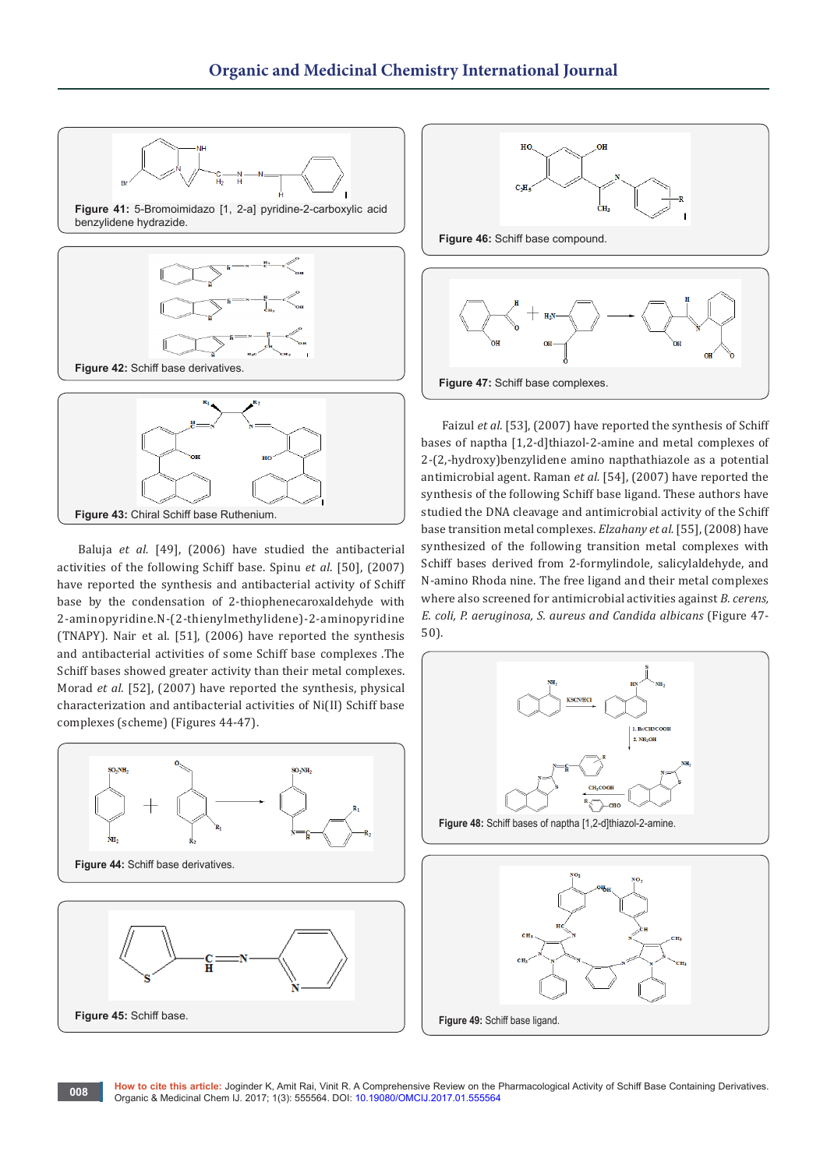

Baluja *et al.* [49], (2006) have studied the antibacterial activities of the following Schiff base. Spinu *et al*. [50], (2007) have reported the synthesis and antibacterial activity of Schiff base by the condensation of 2-thiophenecaroxaldehyde with 2-aminopyridine.N-(2-thienylmethylidene)-2-aminopyridine (TNAPY). Nair et al. [51], (2006) have reported the synthesis and antibacterial activities of some Schiff base complexes .The Schiff bases showed greater activity than their metal complexes. Morad *et al.* [52], (2007) have reported the synthesis, physical characterization and antibacterial activities of Ni(II) Schiff base complexes (scheme) (Figures 44-47).

**Figure 43:** Chiral Schiff base Ruthenium.





Faizul *et al.* [53], (2007) have reported the synthesis of Schiff bases of naptha [1,2-d]thiazol-2-amine and metal complexes of 2-(2,-hydroxy)benzylidene amino napthathiazole as a potential antimicrobial agent. Raman *et al.* [54], (2007) have reported the synthesis of the following Schiff base ligand. These authors have studied the DNA cleavage and antimicrobial activity of the Schiff base transition metal complexes. *Elzahany et al.* [55], (2008) have synthesized of the following transition metal complexes with Schiff bases derived from 2-formylindole, salicylaldehyde, and N-amino Rhoda nine. The free ligand and their metal complexes where also screened for antimicrobial activities against *B. cerens, E. coli, P. aeruginosa, S. aureus and Candida albicans* (Figure 47- 50).

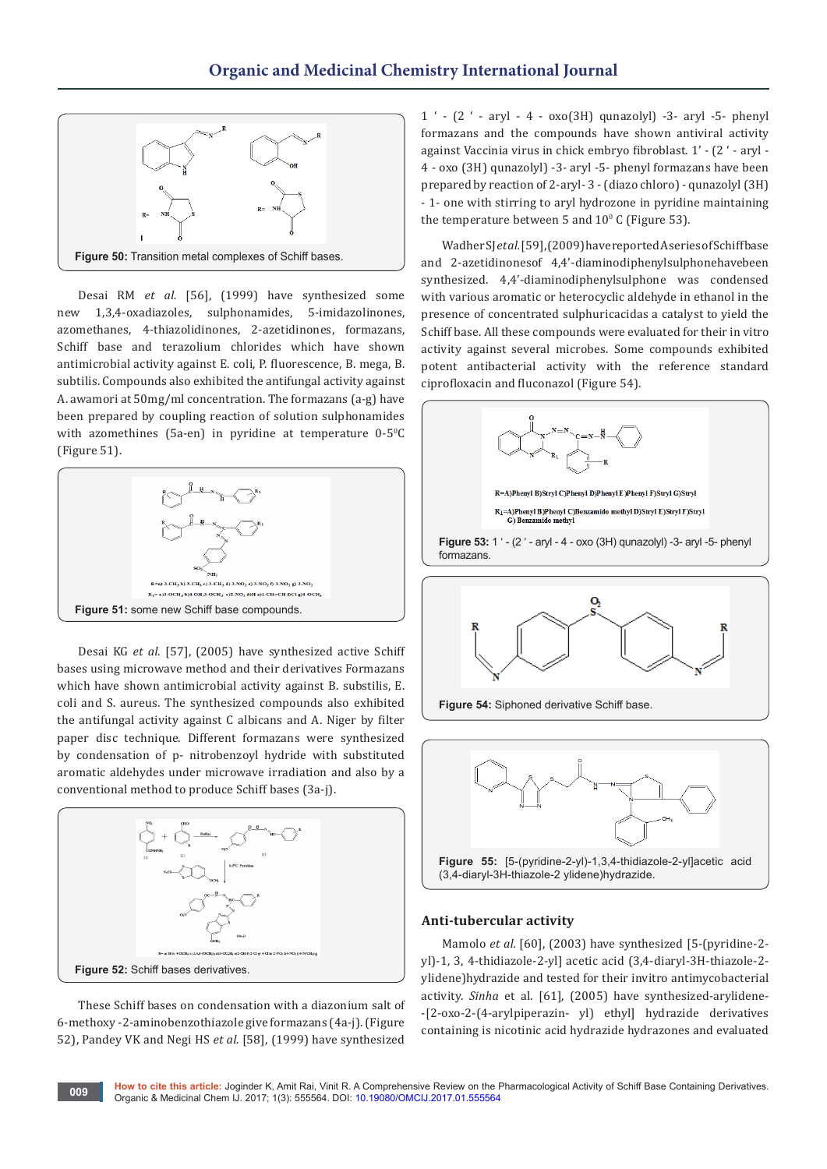

Desai RM *et al.* [56], (1999) have synthesized some new 1,3,4-oxadiazoles, sulphonamides, 5-imidazolinones, azomethanes, 4-thiazolidinones, 2-azetidinones, formazans, Schiff base and terazolium chlorides which have shown antimicrobial activity against E. coli, P. fluorescence, B. mega, B. subtilis. Compounds also exhibited the antifungal activity against A. awamori at 50mg/ml concentration. The formazans (a-g) have been prepared by coupling reaction of solution sulphonamides with azomethines (5a-en) in pyridine at temperature  $0-5$ <sup>o</sup>C (Figure 51).



Desai KG *et al*. [57], (2005) have synthesized active Schiff bases using microwave method and their derivatives Formazans which have shown antimicrobial activity against B. substilis, E. coli and S. aureus. The synthesized compounds also exhibited the antifungal activity against C albicans and A. Niger by filter paper disc technique. Different formazans were synthesized by condensation of p- nitrobenzoyl hydride with substituted aromatic aldehydes under microwave irradiation and also by a conventional method to produce Schiff bases (3a-j).



These Schiff bases on condensation with a diazonium salt of 6-methoxy -2-aminobenzothiazole give formazans (4a-j). (Figure 52), Pandey VK and Negi HS *et al.* [58], (1999) have synthesized

1 ' - (2 ' - aryl - 4 - oxo(3H) qunazolyl) -3- aryl -5- phenyl formazans and the compounds have shown antiviral activity against Vaccinia virus in chick embryo fibroblast. 1' - (2 ' - aryl - 4 - oxo (3H) qunazolyl) -3- aryl -5- phenyl formazans have been prepared by reaction of 2-aryl- 3 - (diazo chloro) - qunazolyl (3H) - 1- one with stirring to aryl hydrozone in pyridine maintaining the temperature between 5 and  $10^{\circ}$  C (Figure 53).

Wadher SJ *et al.* [59], (2009) have reported A series of Schiff base and 2-azetidinonesof 4,4'-diaminodiphenylsulphonehavebeen synthesized. 4,4'-diaminodiphenylsulphone was condensed with various aromatic or heterocyclic aldehyde in ethanol in the presence of concentrated sulphuricacidas a catalyst to yield the Schiff base. All these compounds were evaluated for their in vitro activity against several microbes. Some compounds exhibited potent antibacterial activity with the reference standard ciprofloxacin and fluconazol (Figure 54).





#### **Anti-tubercular activity**

Mamolo *et al.* [60], (2003) have synthesized [5-(pyridine-2yl)-1, 3, 4-thidiazole-2-yl] acetic acid (3,4-diaryl-3H-thiazole-2 ylidene)hydrazide and tested for their invitro antimycobacterial activity. *Sinha* et al. [61], (2005) have synthesized-arylidene- -[2-oxo-2-(4-arylpiperazin- yl) ethyl] hydrazide derivatives containing is nicotinic acid hydrazide hydrazones and evaluated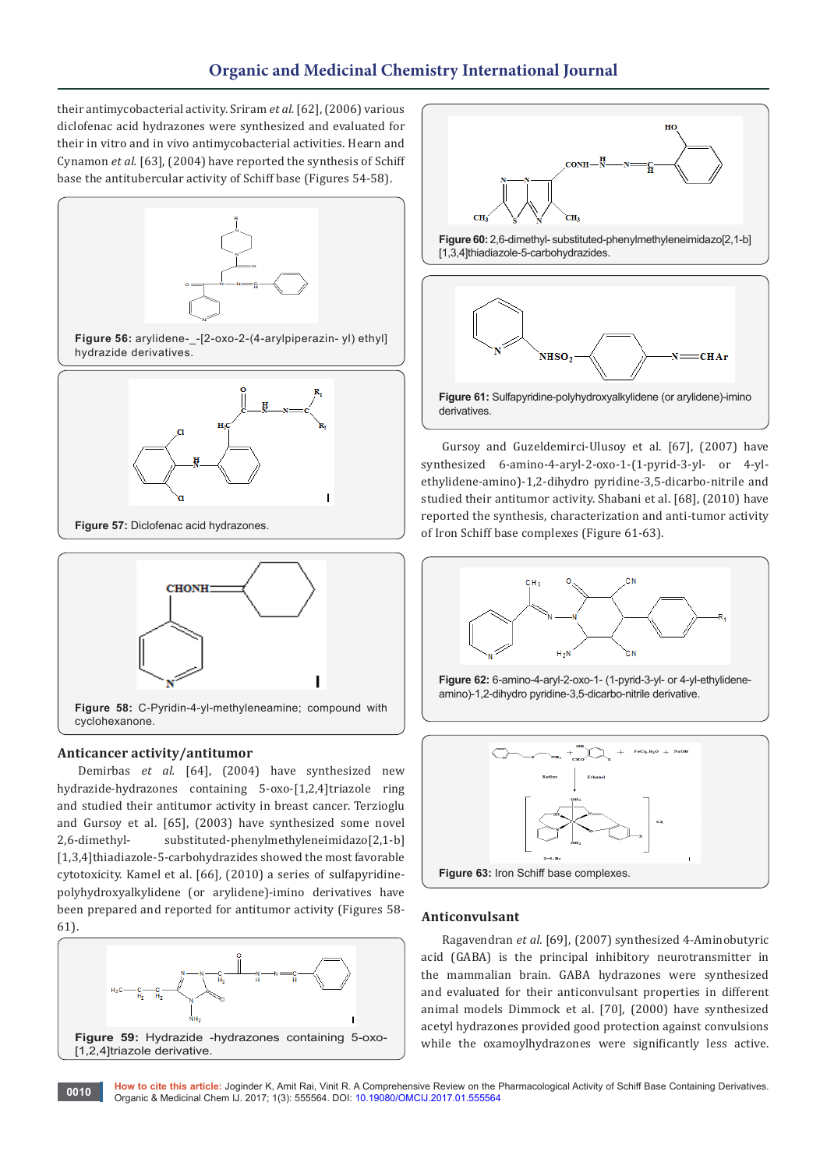their antimycobacterial activity. Sriram *et al.* [62], (2006) various diclofenac acid hydrazones were synthesized and evaluated for their in vitro and in vivo antimycobacterial activities. Hearn and Cynamon *et al.* [63], (2004) have reported the synthesis of Schiff base the antitubercular activity of Schiff base (Figures 54-58).



**Figure 58:** C-Pyridin-4-yl-methyleneamine; compound with cyclohexanone.

#### **Anticancer activity/antitumor**

Demirbas *et al.* [64], (2004) have synthesized new hydrazide-hydrazones containing 5-oxo-[1,2,4]triazole ring and studied their antitumor activity in breast cancer. Terzioglu and Gursoy et al. [65], (2003) have synthesized some novel 2,6-dimethyl- substituted-phenylmethyleneimidazo[2,1-b] [1,3,4]thiadiazole-5-carbohydrazides showed the most favorable cytotoxicity. Kamel et al. [66], (2010) a series of sulfapyridinepolyhydroxyalkylidene (or arylidene)-imino derivatives have been prepared and reported for antitumor activity (Figures 58- 61).





**Figure 61:** Sulfapyridine-polyhydroxyalkylidene (or arylidene)-imino derivatives.

Gursoy and Guzeldemirci-Ulusoy et al. [67], (2007) have synthesized 6-amino-4-aryl-2-oxo-1-(1-pyrid-3-yl- or 4-ylethylidene-amino)-1,2-dihydro pyridine-3,5-dicarbo-nitrile and studied their antitumor activity. Shabani et al. [68], (2010) have reported the synthesis, characterization and anti-tumor activity of Iron Schiff base complexes (Figure 61-63).







#### **Anticonvulsant**

Ragavendran *et al.* [69], (2007) synthesized 4-Aminobutyric acid (GABA) is the principal inhibitory neurotransmitter in the mammalian brain. GABA hydrazones were synthesized and evaluated for their anticonvulsant properties in different animal models Dimmock et al. [70], (2000) have synthesized acetyl hydrazones provided good protection against convulsions while the oxamoylhydrazones were significantly less active.

**How to cite this article:** Joginder K, Amit Rai, Vinit R. A Comprehensive Review on the Pharmacological Activity of Schiff Base Containing Derivatives. Organic & Medicinal Chem IJ. 2017; 1(3): 555564. DOI: [10.19080/OMCIJ.2017.01.555564](http://dx.doi.org/10.19080/omcij.2017.01.555564
) **<sup>0010</sup>**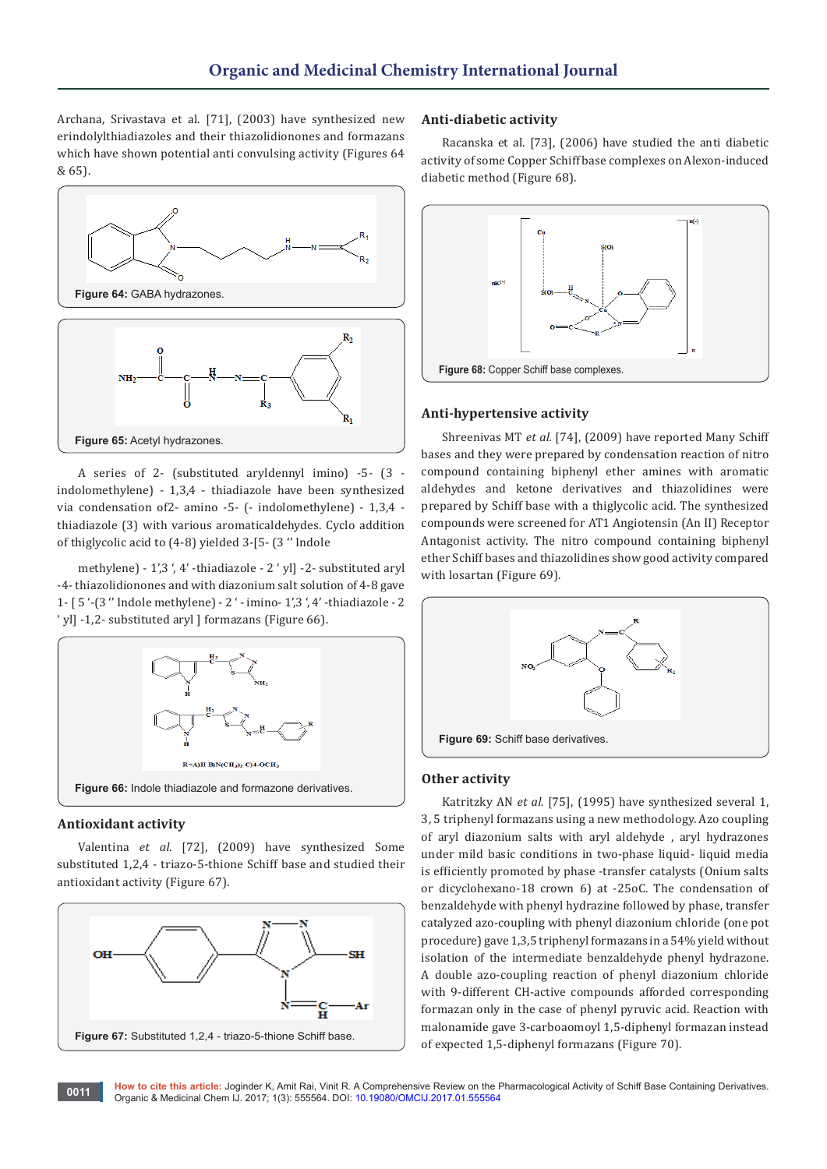Archana, Srivastava et al. [71], (2003) have synthesized new erindolylthiadiazoles and their thiazolidionones and formazans which have shown potential anti convulsing activity (Figures 64 & 65).



A series of 2- (substituted aryldennyl imino) -5- (3 indolomethylene) - 1,3,4 - thiadiazole have been synthesized via condensation of2- amino -5- (- indolomethylene) - 1,3,4 thiadiazole (3) with various aromaticaldehydes. Cyclo addition of thiglycolic acid to (4-8) yielded 3-[5- (3 '' Indole

methylene) - 1',3 ', 4' -thiadiazole - 2 ' yl] -2- substituted aryl -4- thiazolidionones and with diazonium salt solution of 4-8 gave 1- [ 5 '-(3 '' Indole methylene) - 2 ' - imino- 1',3 ', 4' -thiadiazole - 2 ' yl] -1,2- substituted aryl ] formazans (Figure 66).



#### **Antioxidant activity**

Valentina *et al.* [72], (2009) have synthesized Some substituted 1,2,4 - triazo-5-thione Schiff base and studied their antioxidant activity (Figure 67).



#### **Anti-diabetic activity**

Racanska et al. [73], (2006) have studied the anti diabetic activity of some Copper Schiff base complexes on Alexon-induced diabetic method (Figure 68).



#### **Anti-hypertensive activity**

Shreenivas MT *et al.* [74], (2009) have reported Many Schiff bases and they were prepared by condensation reaction of nitro compound containing biphenyl ether amines with aromatic aldehydes and ketone derivatives and thiazolidines were prepared by Schiff base with a thiglycolic acid. The synthesized compounds were screened for AT1 Angiotensin (An II) Receptor Antagonist activity. The nitro compound containing biphenyl ether Schiff bases and thiazolidines show good activity compared with losartan (Figure 69).



#### **Other activity**

Katritzky AN *et al.* [75], (1995) have synthesized several 1, 3, 5 triphenyl formazans using a new methodology. Azo coupling of aryl diazonium salts with aryl aldehyde , aryl hydrazones under mild basic conditions in two-phase liquid- liquid media is efficiently promoted by phase -transfer catalysts (Onium salts or dicyclohexano-18 crown 6) at -25oC. The condensation of benzaldehyde with phenyl hydrazine followed by phase, transfer catalyzed azo-coupling with phenyl diazonium chloride (one pot procedure) gave 1,3,5 triphenyl formazans in a 54% yield without isolation of the intermediate benzaldehyde phenyl hydrazone. A double azo-coupling reaction of phenyl diazonium chloride with 9-different CH-active compounds afforded corresponding formazan only in the case of phenyl pyruvic acid. Reaction with malonamide gave 3-carboaomoyl 1,5-diphenyl formazan instead of expected 1,5-diphenyl formazans (Figure 70).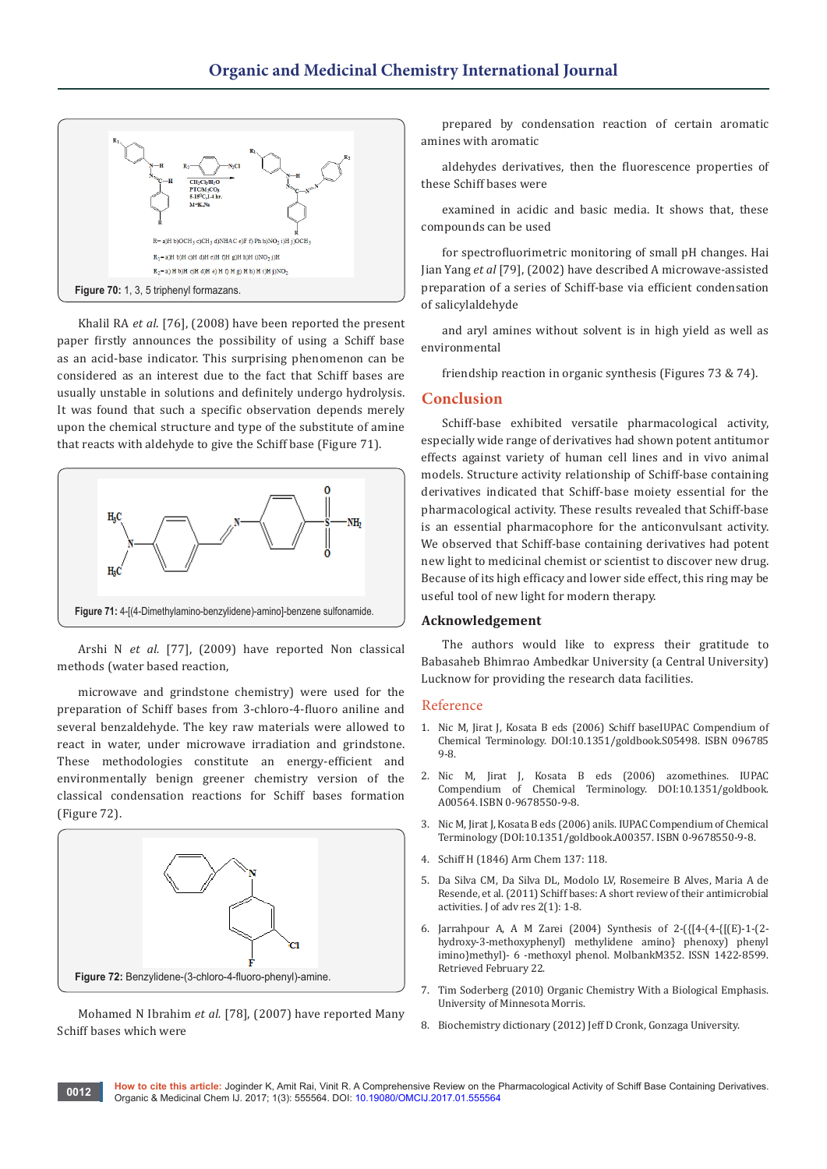

Khalil RA *et al*. [76], (2008) have been reported the present paper firstly announces the possibility of using a Schiff base as an acid-base indicator. This surprising phenomenon can be considered as an interest due to the fact that Schiff bases are usually unstable in solutions and definitely undergo hydrolysis. It was found that such a specific observation depends merely upon the chemical structure and type of the substitute of amine that reacts with aldehyde to give the Schiff base (Figure 71).



Arshi N *et al.* [77], (2009) have reported Non classical methods (water based reaction,

microwave and grindstone chemistry) were used for the preparation of Schiff bases from 3-chloro-4-fluoro aniline and several benzaldehyde. The key raw materials were allowed to react in water, under microwave irradiation and grindstone. These methodologies constitute an energy-efficient and environmentally benign greener chemistry version of the classical condensation reactions for Schiff bases formation (Figure 72).



Mohamed N Ibrahim *et al.* [78], (2007) have reported Many Schiff bases which were

prepared by condensation reaction of certain aromatic amines with aromatic

aldehydes derivatives, then the fluorescence properties of these Schiff bases were

examined in acidic and basic media. It shows that, these compounds can be used

for spectrofluorimetric monitoring of small pH changes. Hai Jian Yang *et al* [79], (2002) have described A microwave-assisted preparation of a series of Schiff-base via efficient condensation of salicylaldehyde

and aryl amines without solvent is in high yield as well as environmental

friendship reaction in organic synthesis (Figures 73 & 74).

#### **Conclusion**

Schiff-base exhibited versatile pharmacological activity, especially wide range of derivatives had shown potent antitumor effects against variety of human cell lines and in vivo animal models. Structure activity relationship of Schiff-base containing derivatives indicated that Schiff-base moiety essential for the pharmacological activity. These results revealed that Schiff-base is an essential pharmacophore for the anticonvulsant activity. We observed that Schiff-base containing derivatives had potent new light to medicinal chemist or scientist to discover new drug. Because of its high efficacy and lower side effect, this ring may be useful tool of new light for modern therapy.

#### **Acknowledgement**

The authors would like to express their gratitude to Babasaheb Bhimrao Ambedkar University (a Central University) Lucknow for providing the research data facilities.

#### Reference

- 1. Nic M, Jirat J, Kosata B eds (2006) Schiff baseIUPAC Compendium of Chemical Terminology. DOI:10.1351/goldbook.S05498. ISBN 096785 9-8.
- 2. Nic M, Jirat J, Kosata B eds (2006) azomethines. IUPAC Compendium of Chemical Terminology. DOI:10.1351/goldbook. A00564. ISBN 0-9678550-9-8.
- 3. Nic M, Jirat J, Kosata B eds (2006) anils. IUPAC Compendium of Chemical Terminology (DOI:10.1351/goldbook.A00357. ISBN 0-9678550-9-8.
- 4. Schiff H (1846) Arm Chem 137: 118.
- 5. [Da Silva CM, Da Silva DL, Modolo LV, Rosemeire B Alves, Maria A de](http://www.sciencedirect.com/science/article/pii/S2090123210000603)  [Resende, et al. \(2011\) Schiff bases: A short review of their antimicrobial](http://www.sciencedirect.com/science/article/pii/S2090123210000603)  [activities. J of adv res 2\(1\): 1-8.](http://www.sciencedirect.com/science/article/pii/S2090123210000603)
- 6. Jarrahpour A, A M Zarei (2004) Synthesis of 2-({[4-(4-{[(E)-1-(2 hydroxy-3-methoxyphenyl) methylidene amino} phenoxy) phenyl imino}methyl)- 6 -methoxyl phenol. MolbankM352. ISSN 1422-8599. Retrieved February 22.
- 7. Tim Soderberg (2010) [Organic Chemistry With a Biological Emphasis.](http://digitalcommons.morris.umn.edu/chem_facpubs/2/)  [University of Minnesota Morris.](http://digitalcommons.morris.umn.edu/chem_facpubs/2/)
- 8. Biochemistry dictionary (2012) Jeff D Cronk, Gonzaga University.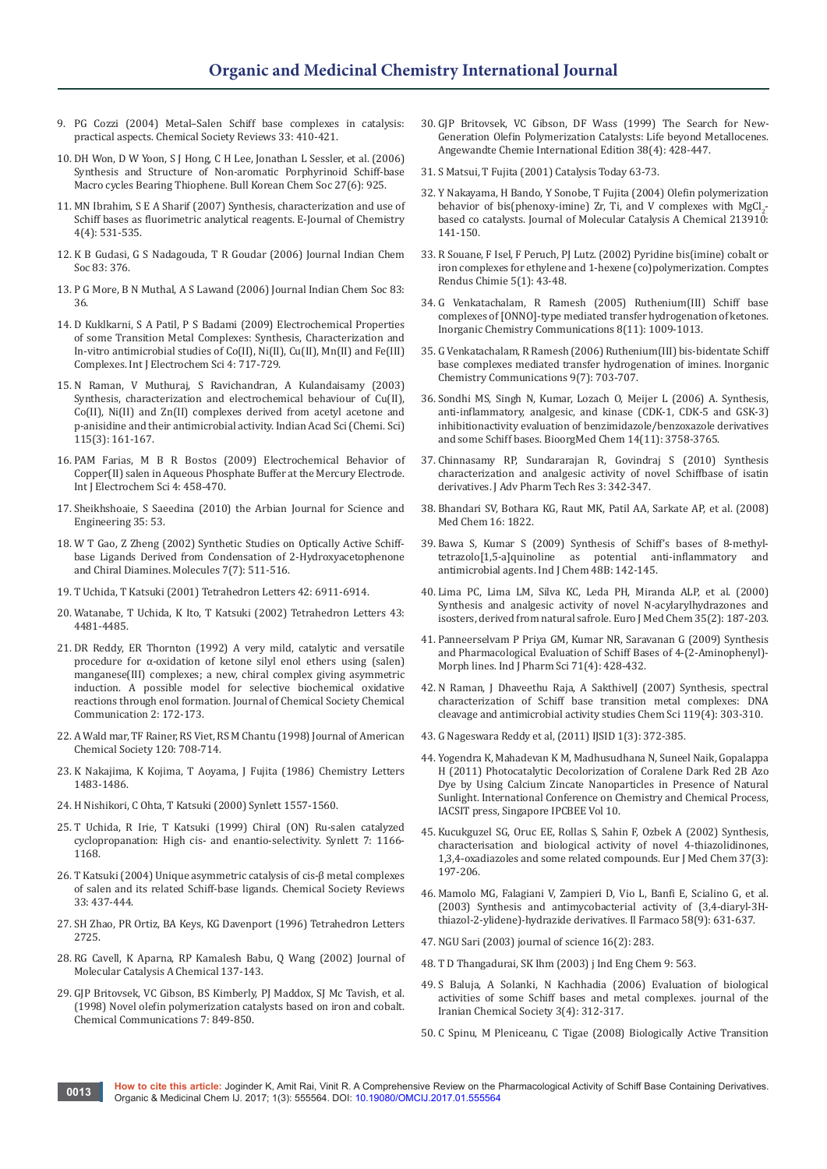- 9. PG Cozzi (2004) Metal–Salen Schiff base complexes in catalysis: practical aspects. Chemical Society Reviews 33: 410-421.
- 10. [DH Won, D W Yoon, S J Hong, C H Lee, Jonathan L Sessler, et al. \(2006\)](http://journal.kcsnet.or.kr/main/j_search/j_abstract_view.htm?code=B060622&qpage=j_search&spage=b_bkcs&dpage=ar)  [Synthesis and Structure of Non-aromatic Porphyrinoid Schiff-base](http://journal.kcsnet.or.kr/main/j_search/j_abstract_view.htm?code=B060622&qpage=j_search&spage=b_bkcs&dpage=ar)  [Macro cycles Bearing Thiophene. Bull Korean Chem Soc 27\(6\): 925.](http://journal.kcsnet.or.kr/main/j_search/j_abstract_view.htm?code=B060622&qpage=j_search&spage=b_bkcs&dpage=ar)
- 11. MN Ibrahim, S E A Sharif (2007) Synthesis, characterization and use of Schiff bases as fluorimetric analytical reagents. E-Journal of Chemistry 4(4): 531-535.
- 12. K B Gudasi, G S Nadagouda, T R Goudar (2006) Journal Indian Chem Soc 83: 376.
- 13. P G More, B N Muthal, A S Lawand (2006) Journal Indian Chem Soc 83: 36.
- 14. [D Kuklkarni, S A Patil, P S Badami \(2009\) Electrochemical Properties](http://www.electrochemsci.org/papers/vol4/4050717.pdf)  [of some Transition Metal Complexes: Synthesis, Characterization and](http://www.electrochemsci.org/papers/vol4/4050717.pdf)  [In-vitro antimicrobial studies of Co\(II\), Ni\(II\), Cu\(II\), Mn\(II\) and Fe\(III\)](http://www.electrochemsci.org/papers/vol4/4050717.pdf)  [Complexes. Int J Electrochem Sci 4: 717-729.](http://www.electrochemsci.org/papers/vol4/4050717.pdf)
- 15. [N Raman, V Muthuraj, S Ravichandran, A Kulandaisamy \(2003\)](http://www.ias.ac.in/article/fulltext/jcsc/115/03/0161-0167)  [Synthesis, characterization and electrochemical behaviour of Cu\(II\),](http://www.ias.ac.in/article/fulltext/jcsc/115/03/0161-0167)  [Co\(II\), Ni\(II\) and Zn\(II\) complexes derived from acetyl acetone and](http://www.ias.ac.in/article/fulltext/jcsc/115/03/0161-0167)  [p-anisidine and their antimicrobial activity. Indian Acad Sci \(Chemi. Sci\)](http://www.ias.ac.in/article/fulltext/jcsc/115/03/0161-0167)  [115\(3\): 161-167.](http://www.ias.ac.in/article/fulltext/jcsc/115/03/0161-0167)
- 16. [PAM Farias, M B R Bostos \(2009\) Electrochemical Behavior of](http://www.electrochemsci.org/papers/vol4/4030458.pdf)  [Copper\(II\) salen in Aqueous Phosphate Buffer at the Mercury Electrode.](http://www.electrochemsci.org/papers/vol4/4030458.pdf)  [Int J Electrochem Sci 4: 458-470.](http://www.electrochemsci.org/papers/vol4/4030458.pdf)
- 17. Sheikhshoaie, S Saeedina (2010) the Arbian Journal for Science and Engineering 35: 53.
- 18. [W T Gao, Z Zheng \(2002\) Synthetic Studies on Optically Active Schiff](http://www.mdpi.com/1420-3049/7/7/511)[base Ligands Derived from Condensation of 2-Hydroxyacetophenone](http://www.mdpi.com/1420-3049/7/7/511)  [and Chiral Diamines. Molecules 7\(7\): 511-516.](http://www.mdpi.com/1420-3049/7/7/511)
- 19. T Uchida, T Katsuki (2001) Tetrahedron Letters 42: 6911-6914.
- 20. Watanabe, T Uchida, K Ito, T Katsuki (2002) Tetrahedron Letters 43: 4481-4485.
- 21. DR Reddy, ER Thornton (1992) A very mild, catalytic and versatile procedure for α-oxidation of ketone silyl enol ethers using (salen) manganese(III) complexes; a new, chiral complex giving asymmetric induction. A possible model for selective biochemical oxidative reactions through enol formation. Journal of Chemical Society Chemical Communication 2: 172-173.
- 22. A Wald mar, TF Rainer, RS Viet, RS M Chantu (1998) Journal of American Chemical Society 120: 708-714.
- 23. K Nakajima, K Kojima, T Aoyama, J Fujita (1986) Chemistry Letters 1483-1486.
- 24. H Nishikori, C Ohta, T Katsuki (2000) Synlett 1557-1560.
- 25. [T Uchida, R Irie, T Katsuki \(1999\) Chiral \(ON\) Ru-salen catalyzed](https://kumamoto.pure.elsevier.com/en/publications/chiral-onru-salen-catalyzed-cyclopropanation-high-cis-and-enantio)  [cyclopropanation: High cis- and enantio-selectivity. Synlett 7: 1166-](https://kumamoto.pure.elsevier.com/en/publications/chiral-onru-salen-catalyzed-cyclopropanation-high-cis-and-enantio) [1168.](https://kumamoto.pure.elsevier.com/en/publications/chiral-onru-salen-catalyzed-cyclopropanation-high-cis-and-enantio)
- 26. T Katsuki (2004) Unique asymmetric catalysis of cis-β metal complexes of salen and its related Schiff-base ligands. Chemical Society Reviews 33: 437-444.
- 27. SH Zhao, PR Ortiz, BA Keys, KG Davenport (1996) Tetrahedron Letters 2725.
- 28. RG Cavell, K Aparna, RP Kamalesh Babu, Q Wang (2002) Journal of Molecular Catalysis A Chemical 137-143.
- 29. GJP Britovsek, VC Gibson, BS Kimberly, PJ Maddox, SJ Mc Tavish, et al. (1998) Novel olefin polymerization catalysts based on iron and cobalt. Chemical Communications 7: 849-850.
- 30. [GJP Britovsek, VC Gibson, DF Wass \(1999\) The Search for New-](http://onlinelibrary.wiley.com/doi/10.1002/(SICI)1521-3773(19990215)38:4%3C428::AID-ANIE428%3E3.0.CO;2-3/full)[Generation Olefin Polymerization Catalysts: Life beyond Metallocenes.](http://onlinelibrary.wiley.com/doi/10.1002/(SICI)1521-3773(19990215)38:4%3C428::AID-ANIE428%3E3.0.CO;2-3/full)  [Angewandte Chemie International Edition 38\(4\): 428-447.](http://onlinelibrary.wiley.com/doi/10.1002/(SICI)1521-3773(19990215)38:4%3C428::AID-ANIE428%3E3.0.CO;2-3/full)
- 31. S Matsui, T Fujita (2001) Catalysis Today 63-73.
- 32. [Y Nakayama, H Bando, Y Sonobe, T Fujita \(2004\) Olefin polymerization](http://www.sciencedirect.com/science/article/pii/S1381116903007969)  behavior of bis(phenoxy-imine)  $Zr$ , Ti, and V complexes with  $MgCl<sub>2</sub>$ . [based co catalysts. Journal of Molecular Catalysis A Chemical 213910:](http://www.sciencedirect.com/science/article/pii/S1381116903007969)  [141-150.](http://www.sciencedirect.com/science/article/pii/S1381116903007969)
- 33. [R Souane, F Isel, F Peruch, PJ Lutz. \(2002\) Pyridine bis\(imine\) cobalt or](http://www.sciencedirect.com/science/article/pii/S1631074802013292)  [iron complexes for ethylene and 1-hexene \(co\)polymerization. Comptes](http://www.sciencedirect.com/science/article/pii/S1631074802013292)  [Rendus Chimie 5\(1\): 43-48.](http://www.sciencedirect.com/science/article/pii/S1631074802013292)
- 34. [G Venkatachalam, R Ramesh \(2005\) Ruthenium\(III\) Schiff base](http://www.sciencedirect.com/science/article/pii/S1387700305002510)  [complexes of \[ONNO\]-type mediated transfer hydrogenation of ketones.](http://www.sciencedirect.com/science/article/pii/S1387700305002510)  [Inorganic Chemistry Communications 8\(11\): 1009-1013.](http://www.sciencedirect.com/science/article/pii/S1387700305002510)
- 35. [G Venkatachalam, R Ramesh \(2006\) Ruthenium\(III\) bis-bidentate Schiff](http://www.sciencedirect.com/science/article/pii/S1387700306001432)  [base complexes mediated transfer hydrogenation of imines. Inorganic](http://www.sciencedirect.com/science/article/pii/S1387700306001432)  [Chemistry Communications 9\(7\): 703-707.](http://www.sciencedirect.com/science/article/pii/S1387700306001432)
- 36. [Sondhi MS, Singh N, Kumar, Lozach O,](https://www.ncbi.nlm.nih.gov/pubmed/16480879) Meijer L (2006) A. Synthesis, [anti-inflammatory, analgesic, and kinase \(CDK-1, CDK-5 and GSK-3\)](https://www.ncbi.nlm.nih.gov/pubmed/16480879)  [inhibitionactivity evaluation of benzimidazole/benzoxazole derivatives](https://www.ncbi.nlm.nih.gov/pubmed/16480879)  [and some Schiff bases. BioorgMed Chem 14\(11\): 3758-3765.](https://www.ncbi.nlm.nih.gov/pubmed/16480879)
- 37. [Chinnasamy RP, Sundararajan R, Govindraj S \(2010\) Synthesis](https://www.ncbi.nlm.nih.gov/pmc/articles/PMC3255410/)  [characterization and analgesic activity of novel Schiffbase of isatin](https://www.ncbi.nlm.nih.gov/pmc/articles/PMC3255410/)  [derivatives. J Adv Pharm Tech Res 3: 342-347.](https://www.ncbi.nlm.nih.gov/pmc/articles/PMC3255410/)
- 38. Bhandari SV, Bothara KG, Raut MK, Patil AA, Sarkate AP, et al. (2008) Med Chem 16: 1822.
- 39. [Bawa S, Kumar S \(2009\) Synthesis of Schiff's bases of 8-methyl](http://nopr.niscair.res.in/handle/123456789/2938) $tetrazolo[1,5-a]$ quinoline as potential anti-inflammatory [antimicrobial agents. Ind J Chem 48B: 142-145.](http://nopr.niscair.res.in/handle/123456789/2938)
- 40. [Lima PC, Lima LM, Silva KC, Leda PH, Miranda ALP, et al. \(2000\)](http://www.sciencedirect.com/science/article/pii/S0223523400001203)  [Synthesis and analgesic activity of novel](http://www.sciencedirect.com/science/article/pii/S0223523400001203) N-acylarylhydrazones and [isosters, derived from natural safrole. Euro J Med Chem 35\(2\): 187-203.](http://www.sciencedirect.com/science/article/pii/S0223523400001203)
- 41. [Panneerselvam P Priya GM, Kumar NR, Saravanan G \(2009\) Synthesis](https://www.ncbi.nlm.nih.gov/pmc/articles/PMC2865815/)  [and Pharmacological Evaluation of Schiff Bases of 4-\(2-Aminophenyl\)-](https://www.ncbi.nlm.nih.gov/pmc/articles/PMC2865815/) [Morph lines. Ind J Pharm Sci 71\(4\): 428-432.](https://www.ncbi.nlm.nih.gov/pmc/articles/PMC2865815/)
- 42. [N Raman, J Dhaveethu Raja, A SakthivelJ \(2007\) Synthesis, spectral](http://www.ias.ac.in/describe/article/jcsc/119/04/0303-0310)  [characterization of Schiff base transition metal complexes: DNA](http://www.ias.ac.in/describe/article/jcsc/119/04/0303-0310)  [cleavage and antimicrobial activity studies Chem Sci 119\(4\): 303-310.](http://www.ias.ac.in/describe/article/jcsc/119/04/0303-0310)
- 43. G Nageswara Reddy et al, (2011) IJSID 1(3): 372-385.
- 44. [Yogendra K, Mahadevan K M, Madhusudhana N, Suneel Naik, Gopalappa](http://www.ipcbee.com/vol10/2-V00003.pdf)  [H \(2011\) Photocatalytic Decolorization of Coralene Dark Red 2B Azo](http://www.ipcbee.com/vol10/2-V00003.pdf)  [Dye by Using Calcium Zincate Nanoparticles in Presence of Natural](http://www.ipcbee.com/vol10/2-V00003.pdf)  [Sunlight. International Conference on Chemistry and Chemical Process,](http://www.ipcbee.com/vol10/2-V00003.pdf)  [IACSIT press, Singapore IPCBEE Vol 10.](http://www.ipcbee.com/vol10/2-V00003.pdf)
- 45. [Kucukguzel SG, Oruc EE, Rollas S, Sahin F, Ozbek A \(2002\) Synthesis,](http://www.sciencedirect.com/science/article/pii/S0223523401013265)  [characterisation and biological activity of novel 4-thiazolidinones,](http://www.sciencedirect.com/science/article/pii/S0223523401013265)  [1,3,4-oxadiazoles and some related compounds. Eur J Med Chem 37\(3\):](http://www.sciencedirect.com/science/article/pii/S0223523401013265)  [197-206.](http://www.sciencedirect.com/science/article/pii/S0223523401013265)
- 46. [Mamolo MG, Falagiani V, Zampieri D, Vio L, Banfi E, Scialino G, et al.](http://www.sciencedirect.com/science/article/pii/S0014827X03001034)  [\(2003\) Synthesis and antimycobacterial activity of \(3,4-diaryl-3H](http://www.sciencedirect.com/science/article/pii/S0014827X03001034)[thiazol-2-ylidene\)-hydrazide derivatives. Il Farmaco 58\(9\): 631-637.](http://www.sciencedirect.com/science/article/pii/S0014827X03001034)
- 47. NGU Sari (2003) journal of science 16(2): 283.
- 48. T D Thangadurai, SK Ihm (2003) j Ind Eng Chem 9: 563.
- 49. [S Baluja, A Solanki, N Kachhadia \(2006\) Evaluation of biological](http://link.springer.com/article/10.1007/BF03245952)  [activities of some Schiff bases and metal complexes. journal of the](http://link.springer.com/article/10.1007/BF03245952)  [Iranian Chemical Society 3\(4\): 312-317.](http://link.springer.com/article/10.1007/BF03245952)
- 50. [C Spinu, M Pleniceanu, C Tigae \(2008\) Biologically Active Transition](http://journals.tubitak.gov.tr/chem/issues/kim-08-32-4/kim-32-4-9-0703-46.pdf)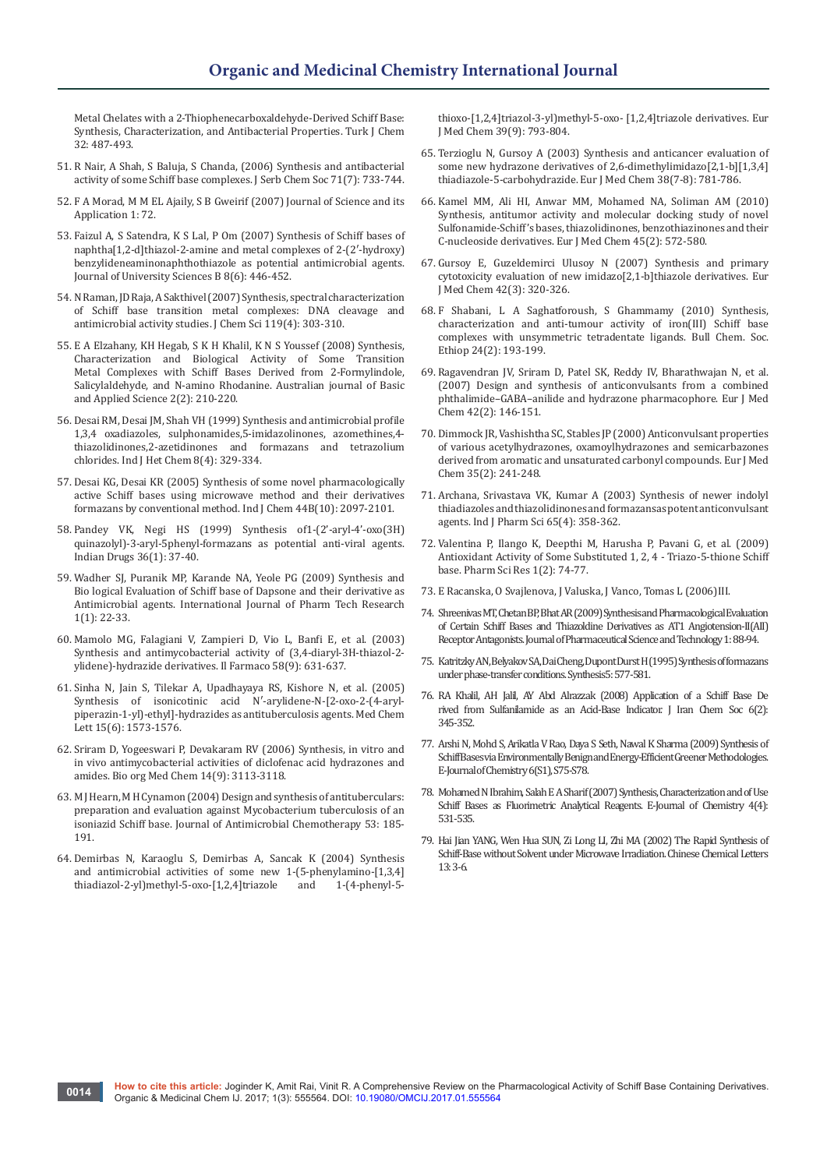[Metal Chelates with a 2-Thiophenecarboxaldehyde-Derived Schiff Base:](http://journals.tubitak.gov.tr/chem/issues/kim-08-32-4/kim-32-4-9-0703-46.pdf)  [Synthesis, Characterization, and Antibacterial Properties. Turk J Chem](http://journals.tubitak.gov.tr/chem/issues/kim-08-32-4/kim-32-4-9-0703-46.pdf)  [32: 487-493.](http://journals.tubitak.gov.tr/chem/issues/kim-08-32-4/kim-32-4-9-0703-46.pdf)

- 51. [R Nair, A Shah, S Baluja, S Chanda, \(2006\) Synthesis and antibacterial](http://www.doiserbia.nb.rs/img/doi/0352-5139/2006/0352-51390607733N.pdf)  [activity of some Schiff base complexes. J Serb Chem Soc 71\(7\): 733-744.](http://www.doiserbia.nb.rs/img/doi/0352-5139/2006/0352-51390607733N.pdf)
- 52. F A Morad, M M EL Ajaily, S B Gweirif (2007) Journal of Science and its Application 1: 72.
- 53. [Faizul A, S Satendra, K S Lal, P Om \(2007\) Synthesis of Schiff bases of](http://link.springer.com/article/10.1631/jzus.2007.B0446)  [naphtha\[1,2-d\]thiazol-2-amine and metal complexes of 2-\(2′-hydroxy\)](http://link.springer.com/article/10.1631/jzus.2007.B0446) [benzylideneaminonaphthothiazole as potential antimicrobial agents.](http://link.springer.com/article/10.1631/jzus.2007.B0446)  [Journal of University Sciences B 8\(6\): 446-452.](http://link.springer.com/article/10.1631/jzus.2007.B0446)
- 54. [N Raman, JD Raja, A Sakthivel \(2007\) Synthesis, spectral characterization](http://link.springer.com/article/10.1007/s12039-007-0041-5)  [of Schiff base transition metal complexes: DNA cleavage and](http://link.springer.com/article/10.1007/s12039-007-0041-5)  [antimicrobial activity studies. J Chem Sci 119\(4\): 303-310.](http://link.springer.com/article/10.1007/s12039-007-0041-5)
- 55. [E A Elzahany, KH Hegab, S K H Khalil, K N S Youssef \(2008\) Synthesis,](http://ajbasweb.com/old/ajbas/2008/210-220.pdf)  [Characterization and Biological Activity of Some Transition](http://ajbasweb.com/old/ajbas/2008/210-220.pdf)  [Metal Complexes with Schiff Bases Derived from 2-Formylindole,](http://ajbasweb.com/old/ajbas/2008/210-220.pdf)  [Salicylaldehyde, and N-amino Rhodanine. Australian journal of Basic](http://ajbasweb.com/old/ajbas/2008/210-220.pdf)  [and Applied Science 2\(2\): 210-220.](http://ajbasweb.com/old/ajbas/2008/210-220.pdf)
- 56. [Desai RM, Desai JM, Shah VH \(1999\) Synthesis and antimicrobial profile](http://serials.unibo.it/cgi-ser/start/en/spogli/df-s.tcl?prog_art=6352424&language=ENGLISH&view=articoli)  [1,3,4 oxadiazoles, sulphonamides,5-imidazolinones, azomethines,4](http://serials.unibo.it/cgi-ser/start/en/spogli/df-s.tcl?prog_art=6352424&language=ENGLISH&view=articoli) [thiazolidinones,2-azetidinones and formazans and tetrazolium](http://serials.unibo.it/cgi-ser/start/en/spogli/df-s.tcl?prog_art=6352424&language=ENGLISH&view=articoli)  [chlorides. Ind J Het Chem 8\(4\): 329-334.](http://serials.unibo.it/cgi-ser/start/en/spogli/df-s.tcl?prog_art=6352424&language=ENGLISH&view=articoli)
- 57. [Desai KG, Desai KR \(2005\) Synthesis of some novel pharmacologically](http://nopr.niscair.res.in/handle/123456789/30687)  [active Schiff bases using microwave method and their derivatives](http://nopr.niscair.res.in/handle/123456789/30687)  [formazans by conventional method. Ind J Chem 44B\(10\): 2097-2101.](http://nopr.niscair.res.in/handle/123456789/30687)
- 58. [Pandey VK, Negi HS \(1999\) Synthesis of1-\(2'-aryl-4'-oxo\(3H\)](https://www.researchgate.net/publication/282719423_Synthesis_of_1-2%27-aryl-4%27-oxo_3H_quinazolyl-3-_aryl-5-phenyl-_formazans_as_potential_anti-viral_agents)  [quinazolyl\)-3-aryl-5phenyl-formazans as potential anti-viral agents.](https://www.researchgate.net/publication/282719423_Synthesis_of_1-2%27-aryl-4%27-oxo_3H_quinazolyl-3-_aryl-5-phenyl-_formazans_as_potential_anti-viral_agents)  [Indian Drugs 36\(1\): 37-40.](https://www.researchgate.net/publication/282719423_Synthesis_of_1-2%27-aryl-4%27-oxo_3H_quinazolyl-3-_aryl-5-phenyl-_formazans_as_potential_anti-viral_agents)
- 59. [Wadher SJ, Puranik MP, Karande NA, Yeole PG \(2009\) Synthesis and](http://sphinxsai.com/pdf/pt/pt--2.pdf)  [Bio logical Evaluation of Schiff base of Dapsone and their derivative as](http://sphinxsai.com/pdf/pt/pt--2.pdf)  [Antimicrobial agents. International Journal of Pharm Tech Research](http://sphinxsai.com/pdf/pt/pt--2.pdf)  [1\(1\): 22-33.](http://sphinxsai.com/pdf/pt/pt--2.pdf)
- 60. [Mamolo MG, Falagiani V, Zampieri D, Vio L, Banfi E, et al. \(2003\)](http://www.sciencedirect.com/science/article/pii/S0014827X03001034)  [Synthesis and antimycobacterial activity of \(3,4-diaryl-3H-thiazol-2](http://www.sciencedirect.com/science/article/pii/S0014827X03001034) [ylidene\)-hydrazide derivatives. Il Farmaco 58\(9\): 631-637.](http://www.sciencedirect.com/science/article/pii/S0014827X03001034)
- 61. [Sinha N, Jain S, Tilekar A, Upadhayaya RS, Kishore N, et al. \(2005\)](http://www.sciencedirect.com/science/article/pii/S0960894X0500140X)  [Synthesis of isonicotinic acid](http://www.sciencedirect.com/science/article/pii/S0960894X0500140X) N′-arylidene-N-[2-oxo-2-(4-aryl[piperazin-1-yl\)-ethyl\]-hydrazides as antituberculosis agents. Med Chem](http://www.sciencedirect.com/science/article/pii/S0960894X0500140X)  [Lett 15\(6\): 1573-1576.](http://www.sciencedirect.com/science/article/pii/S0960894X0500140X)
- 62. [Sriram D, Yogeeswari P, Devakaram RV \(2006\) Synthesis, in vitro and](http://www.sciencedirect.com/science/article/pii/S0968089605012174)  [in vivo antimycobacterial activities of diclofenac acid hydrazones and](http://www.sciencedirect.com/science/article/pii/S0968089605012174)  [amides. Bio org Med Chem 14\(9\): 3113-3118.](http://www.sciencedirect.com/science/article/pii/S0968089605012174)
- 63. [M J Hearn, M H Cynamon \(2004\) Design and synthesis of antituberculars:](http://jac.oxfordjournals.org/content/53/2/185.full)  [preparation and evaluation against](http://jac.oxfordjournals.org/content/53/2/185.full) Mycobacterium tuberculosis of an [isoniazid Schiff base. Journal of Antimicrobial Chemotherapy 53: 185-](http://jac.oxfordjournals.org/content/53/2/185.full) [191.](http://jac.oxfordjournals.org/content/53/2/185.full)
- 64. [Demirbas N, Karaoglu S, Demirbas A, Sancak K \(2004\) Synthesis](http://www.sciencedirect.com/science/article/pii/S0223523404001333)  [and antimicrobial activities of some new 1-\(5-phenylamino-\[1,3,4\]](http://www.sciencedirect.com/science/article/pii/S0223523404001333) thiadiazol-2-yl)methyl-5-oxo-[1,2,4] triazole and 1-(4-phenyl-5thiadiazol-2-yl)methyl-5-oxo-[1,2,4]triazole

[thioxo-\[1,2,4\]triazol-3-yl\)methyl-5-oxo- \[1,2,4\]triazole derivatives. Eur](http://www.sciencedirect.com/science/article/pii/S0223523404001333)  [J Med Chem 39\(9\): 793-804.](http://www.sciencedirect.com/science/article/pii/S0223523404001333)

- 65. [Terzioglu N, Gursoy A \(2003\) Synthesis and anticancer evaluation of](http://www.sciencedirect.com/science/article/pii/S0223523403001387)  [some new hydrazone derivatives of 2,6-dimethylimidazo\[2,1-b\]\[1,3,4\]](http://www.sciencedirect.com/science/article/pii/S0223523403001387) [thiadiazole-5-carbohydrazide. Eur J Med Chem 38\(7-8\): 781-786.](http://www.sciencedirect.com/science/article/pii/S0223523403001387)
- 66. [Kamel MM, Ali HI, Anwar MM, Mohamed NA, Soliman AM \(2010\)](http://www.sciencedirect.com/science/article/pii/S0223523409005467)  [Synthesis, antitumor activity and molecular docking study of novel](http://www.sciencedirect.com/science/article/pii/S0223523409005467)  [Sulfonamide-Schiff's bases, thiazolidinones, benzothiazinones and their](http://www.sciencedirect.com/science/article/pii/S0223523409005467)  [C-nucleoside derivatives. Eur J Med Chem 45\(2\): 572-580.](http://www.sciencedirect.com/science/article/pii/S0223523409005467)
- 67. [Gursoy E, Guzeldemirci Ulusoy N \(2007\) Synthesis and primary](http://www.sciencedirect.com/science/article/pii/S0223523406003874)  [cytotoxicity evaluation of new imidazo\[2,1-b\]thiazole derivatives. Eur](http://www.sciencedirect.com/science/article/pii/S0223523406003874)  [J Med Chem 42\(3\): 320-326.](http://www.sciencedirect.com/science/article/pii/S0223523406003874)
- 68. [F Shabani, L A Saghatforoush, S Ghammamy \(2010\) Synthesis,](http://www.ajol.info/index.php/bcse/article/view/54741)  [characterization and anti-tumour activity of iron\(III\) Schiff base](http://www.ajol.info/index.php/bcse/article/view/54741)  [complexes with unsymmetric tetradentate ligands. Bull Chem. Soc.](http://www.ajol.info/index.php/bcse/article/view/54741)  [Ethiop 24\(2\): 193-199.](http://www.ajol.info/index.php/bcse/article/view/54741)
- 69. [Ragavendran JV, Sriram D, Patel SK, Reddy IV, Bharathwajan N, et al.](http://www.sciencedirect.com/science/article/pii/S022352340600290X)  [\(2007\) Design and synthesis of anticonvulsants from a combined](http://www.sciencedirect.com/science/article/pii/S022352340600290X)  [phthalimide–GABA–anilide and hydrazone pharmacophore. Eur J Med](http://www.sciencedirect.com/science/article/pii/S022352340600290X)  [Chem 42\(2\): 146-151.](http://www.sciencedirect.com/science/article/pii/S022352340600290X)
- 70. [Dimmock JR, Vashishtha SC, Stables JP \(2000\) Anticonvulsant properties](http://www.sciencedirect.com/science/article/pii/S0223523400001239)  [of various acetylhydrazones, oxamoylhydrazones and semicarbazones](http://www.sciencedirect.com/science/article/pii/S0223523400001239)  [derived from aromatic and unsaturated carbonyl compounds. Eur J Med](http://www.sciencedirect.com/science/article/pii/S0223523400001239)  [Chem 35\(2\): 241-248.](http://www.sciencedirect.com/science/article/pii/S0223523400001239)
- 71. [Archana, Srivastava VK, Kumar A \(2003\) Synthesis of newer indolyl](http://www.ijpsonline.com/abstract/synthesis-of-newer-indolyl-thiadiazoles-and-their-thiazolidinones-and-formazans-as-potential-anticonvulsant-agents-846.html)  [thiadiazoles and thiazolidinones and formazansas potent anticonvulsant](http://www.ijpsonline.com/abstract/synthesis-of-newer-indolyl-thiadiazoles-and-their-thiazolidinones-and-formazans-as-potential-anticonvulsant-agents-846.html)  [agents. Ind J Pharm Sci 65\(4\): 358-362.](http://www.ijpsonline.com/abstract/synthesis-of-newer-indolyl-thiadiazoles-and-their-thiazolidinones-and-formazans-as-potential-anticonvulsant-agents-846.html)
- 72. [Valentina P, Ilango K, Deepthi M, Harusha P, Pavani G, et al. \(2009\)](http://www.jpsr.pharmainfo.in/Documents/Volumes/Vol1Issue2/pdfs/jpsr13.pdf)  [Antioxidant Activity of Some Substituted 1, 2, 4 - Triazo-5-thione Schiff](http://www.jpsr.pharmainfo.in/Documents/Volumes/Vol1Issue2/pdfs/jpsr13.pdf)  [base. Pharm Sci Res 1\(2\): 74-77.](http://www.jpsr.pharmainfo.in/Documents/Volumes/Vol1Issue2/pdfs/jpsr13.pdf)
- 73. E Racanska, O Svajlenova, J Valuska, J Vanco, Tomas L (2006)III.
- 74. Shreenivas MT, Chetan BP, Bhat AR (2009) Synthesis and Pharmacological Evaluation of Certain Schiff Bases and Thiazoldine Derivatives as AT1 Angiotension-II(AII) Receptor Antagonists. Journal of Pharmaceutical Science and Technology 1: 88-94.
- 75. [Katritzky AN, Belyakov SA, Dai Cheng, Dupont Durst H \(1995\) Synthesis of formazans](https://www.thieme-connect.com/products/ejournals/abstract/10.1055/s-1995-3958)  [under phase-transfer conditions. Synthesis5: 577-581.](https://www.thieme-connect.com/products/ejournals/abstract/10.1055/s-1995-3958)
- 76. [RA Khalil, AH Jalil, AY Abd Alrazzak \(2008\) Application of a Schiff Base De](http://link.springer.com/article/10.1007/BF03245844)  [rived from Sulfanilamide as an Acid-Base Indicator. J Iran Chem Soc 6\(2\):](http://link.springer.com/article/10.1007/BF03245844)  [345-352.](http://link.springer.com/article/10.1007/BF03245844)
- 77. [Arshi N, Mohd S, Arikatla V Rao, Daya S Seth, Nawal K Sharma \(2009\) Synthesis of](https://doaj.org/article/2333f3e67af04fef86a4cba0bebc0641)  [Schiff Bases via Environmentally Benign and Energy-Efficient Greener Methodologies.](https://doaj.org/article/2333f3e67af04fef86a4cba0bebc0641)  [E-Journal of Chemistry 6\(S1\), S75-S78.](https://doaj.org/article/2333f3e67af04fef86a4cba0bebc0641)
- 78. [Mohamed N Ibrahim, Salah E A Sharif \(2007\) Synthesis, Characterization and of Use](https://www.researchgate.net/publication/258376750_Synthesis_Characterization_and_Use_of_Schiff_Bases_as_Fluorimetric_Analytical_Reagents_Part_II)  [Schiff Bases as Fluorimetric Analytical Reagents. E-Journal of Chemistry 4\(4\):](https://www.researchgate.net/publication/258376750_Synthesis_Characterization_and_Use_of_Schiff_Bases_as_Fluorimetric_Analytical_Reagents_Part_II)  [531-535.](https://www.researchgate.net/publication/258376750_Synthesis_Characterization_and_Use_of_Schiff_Bases_as_Fluorimetric_Analytical_Reagents_Part_II)
- 79. [Hai Jian YANG, Wen Hua SUN, Zi Long LI, Zhi MA \(2002\) The Rapid Synthesis of](https://www.researchgate.net/publication/285786037_The_rapid_synthesis_of_Schiff-Base_without_solvent_under_microwave_irradiation)  [Schiff-Base without Solvent under Microwave Irradiation. Chinese Chemical Letters](https://www.researchgate.net/publication/285786037_The_rapid_synthesis_of_Schiff-Base_without_solvent_under_microwave_irradiation)  [13: 3-6.](https://www.researchgate.net/publication/285786037_The_rapid_synthesis_of_Schiff-Base_without_solvent_under_microwave_irradiation)